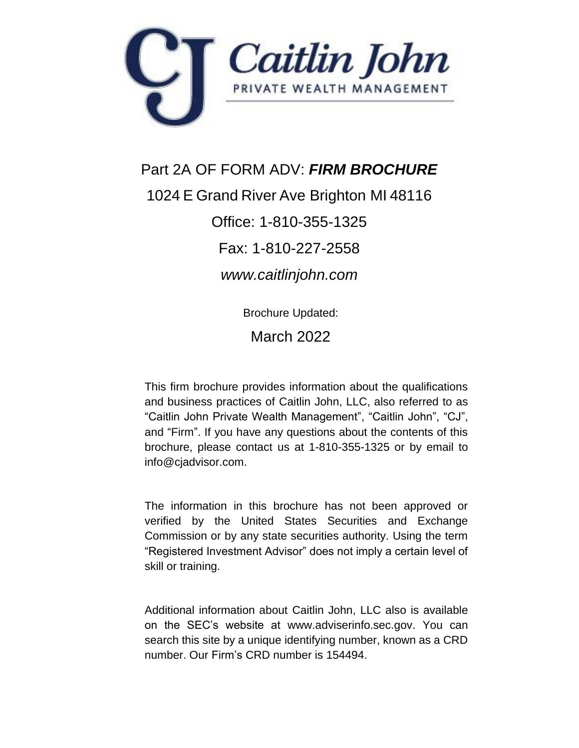<span id="page-0-0"></span>

Part 2A OF FORM ADV: *FIRM BROCHURE* 1024 E Grand River Ave Brighton MI 48116 Office: 1-810-355-1325 Fax: 1-810-227-2558 *www.caitlinjohn.com*

Brochure Updated:

March 2022

This firm brochure provides information about the qualifications and business practices of Caitlin John, LLC, also referred to as "Caitlin John Private Wealth Management", "Caitlin John", "CJ", and "Firm". If you have any questions about the contents of this brochure, please contact us at 1-810-355-1325 or by email to info@cjadvisor.com.

The information in this brochure has not been approved or verified by the United States Securities and Exchange Commission or by any state securities authority. Using the term "Registered Investment Advisor" does not imply a certain level of skill or training.

Additional information about Caitlin John, LLC also is available on the SEC's website at www.adviserinfo.sec.gov. You can search this site by a unique identifying number, known as a CRD number. Our Firm's CRD number is 154494.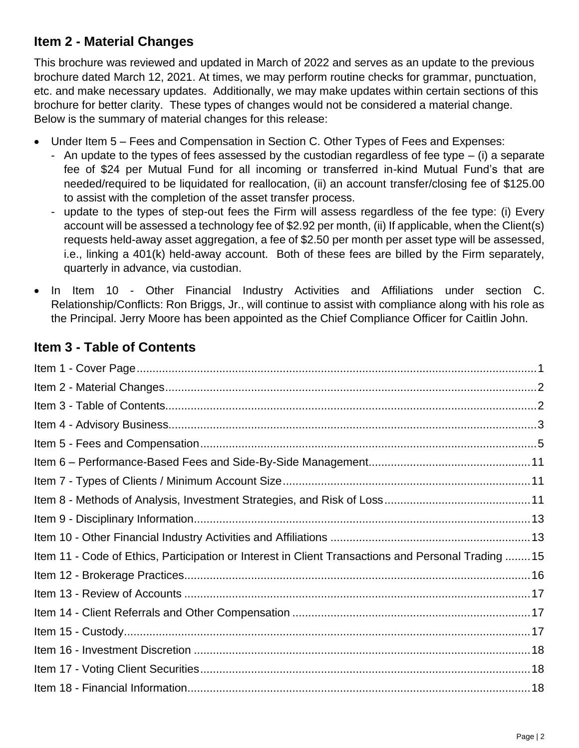# <span id="page-1-0"></span>**Item 2 - Material Changes**

This brochure was reviewed and updated in March of 2022 and serves as an update to the previous brochure dated March 12, 2021. At times, we may perform routine checks for grammar, punctuation, etc. and make necessary updates. Additionally, we may make updates within certain sections of this brochure for better clarity. These types of changes would not be considered a material change. Below is the summary of material changes for this release:

- Under Item 5 Fees and Compensation in Section C. Other Types of Fees and Expenses:
	- An update to the types of fees assessed by the custodian regardless of fee type (i) a separate fee of \$24 per Mutual Fund for all incoming or transferred in-kind Mutual Fund's that are needed/required to be liquidated for reallocation, (ii) an account transfer/closing fee of \$125.00 to assist with the completion of the asset transfer process.
	- update to the types of step-out fees the Firm will assess regardless of the fee type: (i) Every account will be assessed a technology fee of \$2.92 per month, (ii) If applicable, when the Client(s) requests held-away asset aggregation, a fee of \$2.50 per month per asset type will be assessed, i.e., linking a 401(k) held-away account. Both of these fees are billed by the Firm separately, quarterly in advance, via custodian.
- In Item 10 Other Financial Industry Activities and Affiliations under section C. Relationship/Conflicts: Ron Briggs, Jr., will continue to assist with compliance along with his role as the Principal. Jerry Moore has been appointed as the Chief Compliance Officer for Caitlin John.

# <span id="page-1-1"></span>**Item 3 - Table of Contents**

| Item 11 - Code of Ethics, Participation or Interest in Client Transactions and Personal Trading  15 |
|-----------------------------------------------------------------------------------------------------|
|                                                                                                     |
|                                                                                                     |
|                                                                                                     |
|                                                                                                     |
|                                                                                                     |
|                                                                                                     |
|                                                                                                     |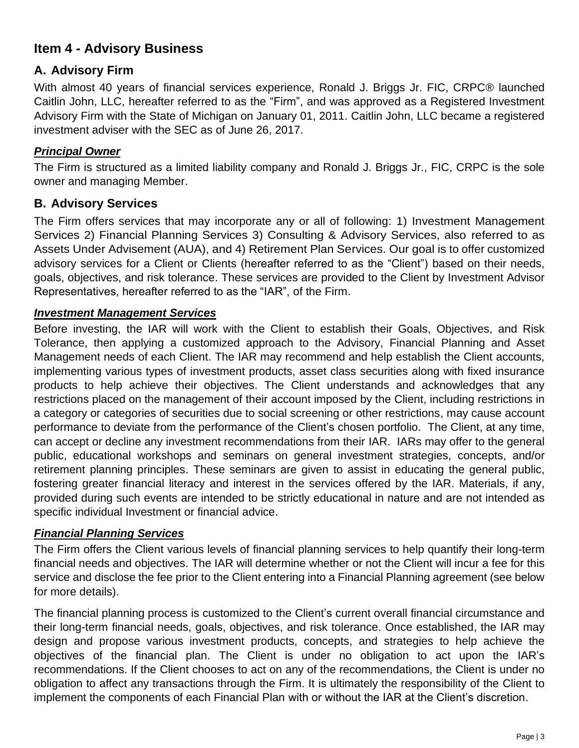# <span id="page-2-0"></span>**Item 4 - Advisory Business**

### **A. Advisory Firm**

With almost 40 years of financial services experience, Ronald J. Briggs Jr. FIC, CRPC® launched Caitlin John, LLC, hereafter referred to as the "Firm", and was approved as a Registered Investment Advisory Firm with the State of Michigan on January 01, 2011. Caitlin John, LLC became a registered investment adviser with the SEC as of June 26, 2017.

#### *Principal Owner*

The Firm is structured as a limited liability company and Ronald J. Briggs Jr., FIC, CRPC is the sole owner and managing Member.

#### **B. Advisory Services**

The Firm offers services that may incorporate any or all of following: 1) Investment Management Services 2) Financial Planning Services 3) Consulting & Advisory Services, also referred to as Assets Under Advisement (AUA), and 4) Retirement Plan Services. Our goal is to offer customized advisory services for a Client or Clients (hereafter referred to as the "Client") based on their needs, goals, objectives, and risk tolerance. These services are provided to the Client by Investment Advisor Representatives, hereafter referred to as the "IAR", of the Firm.

#### *Investment Management Services*

Before investing, the IAR will work with the Client to establish their Goals, Objectives, and Risk Tolerance, then applying a customized approach to the Advisory, Financial Planning and Asset Management needs of each Client. The IAR may recommend and help establish the Client accounts, implementing various types of investment products, asset class securities along with fixed insurance products to help achieve their objectives. The Client understands and acknowledges that any restrictions placed on the management of their account imposed by the Client, including restrictions in a category or categories of securities due to social screening or other restrictions, may cause account performance to deviate from the performance of the Client's chosen portfolio. The Client, at any time, can accept or decline any investment recommendations from their IAR. IARs may offer to the general public, educational workshops and seminars on general investment strategies, concepts, and/or retirement planning principles. These seminars are given to assist in educating the general public, fostering greater financial literacy and interest in the services offered by the IAR. Materials, if any, provided during such events are intended to be strictly educational in nature and are not intended as specific individual Investment or financial advice.

#### *Financial Planning Services*

The Firm offers the Client various levels of financial planning services to help quantify their long-term financial needs and objectives. The IAR will determine whether or not the Client will incur a fee for this service and disclose the fee prior to the Client entering into a Financial Planning agreement (see below for more details).

The financial planning process is customized to the Client's current overall financial circumstance and their long-term financial needs, goals, objectives, and risk tolerance. Once established, the IAR may design and propose various investment products, concepts, and strategies to help achieve the objectives of the financial plan. The Client is under no obligation to act upon the IAR's recommendations. If the Client chooses to act on any of the recommendations, the Client is under no obligation to affect any transactions through the Firm. It is ultimately the responsibility of the Client to implement the components of each Financial Plan with or without the IAR at the Client's discretion.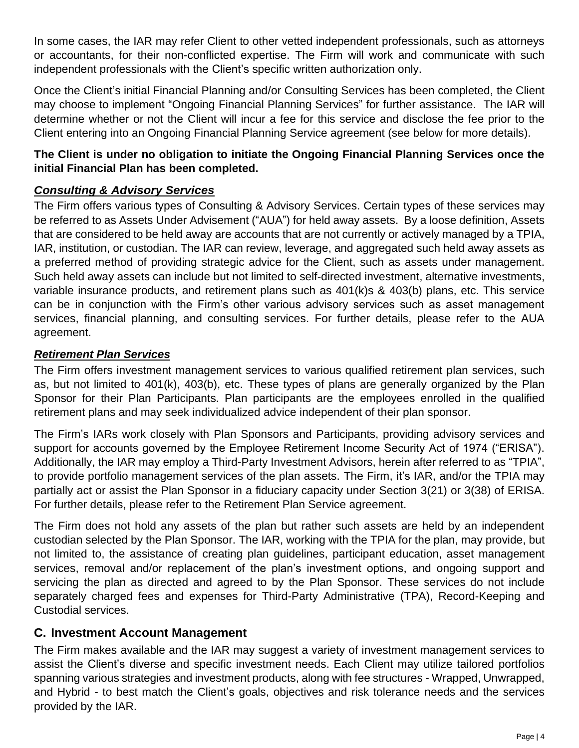In some cases, the IAR may refer Client to other vetted independent professionals, such as attorneys or accountants, for their non-conflicted expertise. The Firm will work and communicate with such independent professionals with the Client's specific written authorization only.

Once the Client's initial Financial Planning and/or Consulting Services has been completed, the Client may choose to implement "Ongoing Financial Planning Services" for further assistance. The IAR will determine whether or not the Client will incur a fee for this service and disclose the fee prior to the Client entering into an Ongoing Financial Planning Service agreement (see below for more details).

#### **The Client is under no obligation to initiate the Ongoing Financial Planning Services once the initial Financial Plan has been completed.**

#### *Consulting & Advisory Services*

The Firm offers various types of Consulting & Advisory Services. Certain types of these services may be referred to as Assets Under Advisement ("AUA") for held away assets. By a loose definition, Assets that are considered to be held away are accounts that are not currently or actively managed by a TPIA, IAR, institution, or custodian. The IAR can review, leverage, and aggregated such held away assets as a preferred method of providing strategic advice for the Client, such as assets under management. Such held away assets can include but not limited to self-directed investment, alternative investments, variable insurance products, and retirement plans such as 401(k)s & 403(b) plans, etc. This service can be in conjunction with the Firm's other various advisory services such as asset management services, financial planning, and consulting services. For further details, please refer to the AUA agreement.

#### *Retirement Plan Services*

The Firm offers investment management services to various qualified retirement plan services, such as, but not limited to 401(k), 403(b), etc. These types of plans are generally organized by the Plan Sponsor for their Plan Participants. Plan participants are the employees enrolled in the qualified retirement plans and may seek individualized advice independent of their plan sponsor.

The Firm's IARs work closely with Plan Sponsors and Participants, providing advisory services and support for accounts governed by the Employee Retirement Income Security Act of 1974 ("ERISA"). Additionally, the IAR may employ a Third-Party Investment Advisors, herein after referred to as "TPIA", to provide portfolio management services of the plan assets. The Firm, it's IAR, and/or the TPIA may partially act or assist the Plan Sponsor in a fiduciary capacity under Section 3(21) or 3(38) of ERISA. For further details, please refer to the Retirement Plan Service agreement.

The Firm does not hold any assets of the plan but rather such assets are held by an independent custodian selected by the Plan Sponsor. The IAR, working with the TPIA for the plan, may provide, but not limited to, the assistance of creating plan guidelines, participant education, asset management services, removal and/or replacement of the plan's investment options, and ongoing support and servicing the plan as directed and agreed to by the Plan Sponsor. These services do not include separately charged fees and expenses for Third-Party Administrative (TPA), Record-Keeping and Custodial services.

#### **C. Investment Account Management**

The Firm makes available and the IAR may suggest a variety of investment management services to assist the Client's diverse and specific investment needs. Each Client may utilize tailored portfolios spanning various strategies and investment products, along with fee structures - Wrapped, Unwrapped, and Hybrid - to best match the Client's goals, objectives and risk tolerance needs and the services provided by the IAR.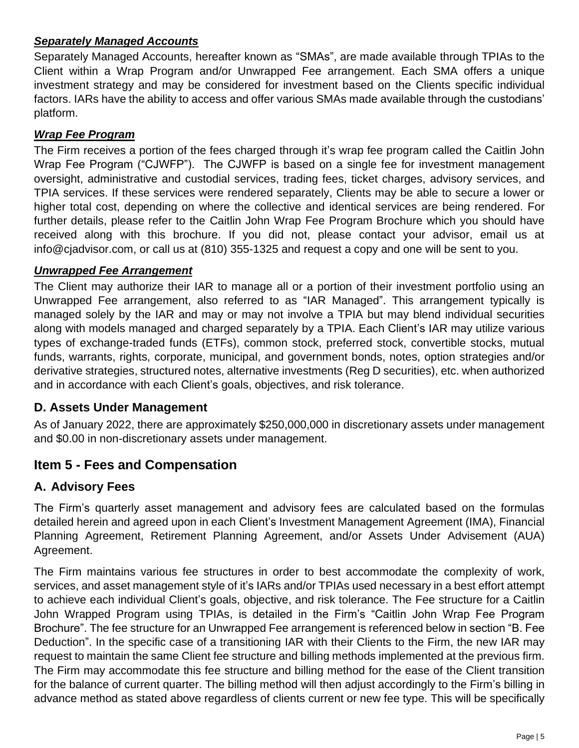### *Separately Managed Accounts*

Separately Managed Accounts, hereafter known as "SMAs", are made available through TPIAs to the Client within a Wrap Program and/or Unwrapped Fee arrangement. Each SMA offers a unique investment strategy and may be considered for investment based on the Clients specific individual factors. IARs have the ability to access and offer various SMAs made available through the custodians' platform.

#### *Wrap Fee Program*

The Firm receives a portion of the fees charged through it's wrap fee program called the Caitlin John Wrap Fee Program ("CJWFP"). The CJWFP is based on a single fee for investment management oversight, administrative and custodial services, trading fees, ticket charges, advisory services, and TPIA services. If these services were rendered separately, Clients may be able to secure a lower or higher total cost, depending on where the collective and identical services are being rendered. For further details, please refer to the Caitlin John Wrap Fee Program Brochure which you should have received along with this brochure. If you did not, please contact your advisor, email us at info@cjadvisor.com, or call us at (810) 355-1325 and request a copy and one will be sent to you.

#### *Unwrapped Fee Arrangement*

The Client may authorize their IAR to manage all or a portion of their investment portfolio using an Unwrapped Fee arrangement, also referred to as "IAR Managed". This arrangement typically is managed solely by the IAR and may or may not involve a TPIA but may blend individual securities along with models managed and charged separately by a TPIA. Each Client's IAR may utilize various types of exchange-traded funds (ETFs), common stock, preferred stock, convertible stocks, mutual funds, warrants, rights, corporate, municipal, and government bonds, notes, option strategies and/or derivative strategies, structured notes, alternative investments (Reg D securities), etc. when authorized and in accordance with each Client's goals, objectives, and risk tolerance.

### **D. Assets Under Management**

As of January 2022, there are approximately \$250,000,000 in discretionary assets under management and \$0.00 in non-discretionary assets under management.

## <span id="page-4-0"></span>**Item 5 - Fees and Compensation**

### **A. Advisory Fees**

The Firm's quarterly asset management and advisory fees are calculated based on the formulas detailed herein and agreed upon in each Client's Investment Management Agreement (IMA), Financial Planning Agreement, Retirement Planning Agreement, and/or Assets Under Advisement (AUA) Agreement.

The Firm maintains various fee structures in order to best accommodate the complexity of work, services, and asset management style of it's IARs and/or TPIAs used necessary in a best effort attempt to achieve each individual Client's goals, objective, and risk tolerance. The Fee structure for a Caitlin John Wrapped Program using TPIAs, is detailed in the Firm's "Caitlin John Wrap Fee Program Brochure". The fee structure for an Unwrapped Fee arrangement is referenced below in section "B. Fee Deduction". In the specific case of a transitioning IAR with their Clients to the Firm, the new IAR may request to maintain the same Client fee structure and billing methods implemented at the previous firm. The Firm may accommodate this fee structure and billing method for the ease of the Client transition for the balance of current quarter. The billing method will then adjust accordingly to the Firm's billing in advance method as stated above regardless of clients current or new fee type. This will be specifically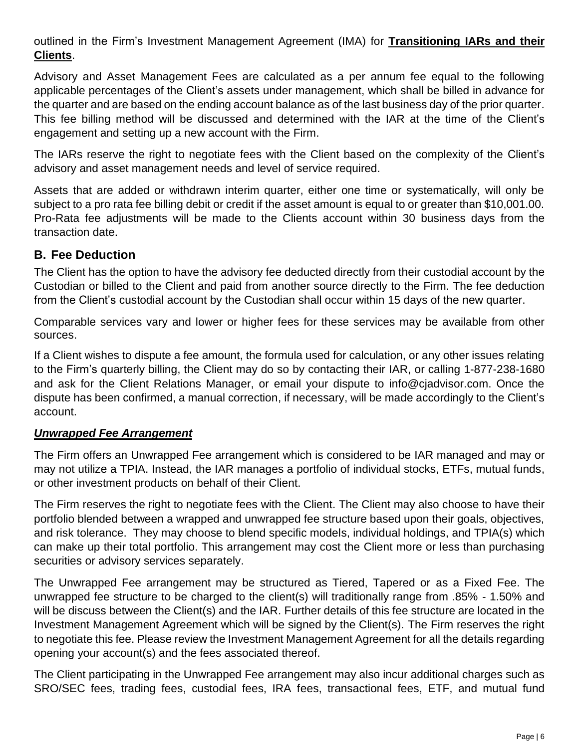outlined in the Firm's Investment Management Agreement (IMA) for **Transitioning IARs and their Clients**.

Advisory and Asset Management Fees are calculated as a per annum fee equal to the following applicable percentages of the Client's assets under management, which shall be billed in advance for the quarter and are based on the ending account balance as of the last business day of the prior quarter. This fee billing method will be discussed and determined with the IAR at the time of the Client's engagement and setting up a new account with the Firm.

The IARs reserve the right to negotiate fees with the Client based on the complexity of the Client's advisory and asset management needs and level of service required.

Assets that are added or withdrawn interim quarter, either one time or systematically, will only be subject to a pro rata fee billing debit or credit if the asset amount is equal to or greater than \$10,001.00. Pro-Rata fee adjustments will be made to the Clients account within 30 business days from the transaction date.

#### **B. Fee Deduction**

The Client has the option to have the advisory fee deducted directly from their custodial account by the Custodian or billed to the Client and paid from another source directly to the Firm. The fee deduction from the Client's custodial account by the Custodian shall occur within 15 days of the new quarter.

Comparable services vary and lower or higher fees for these services may be available from other sources.

If a Client wishes to dispute a fee amount, the formula used for calculation, or any other issues relating to the Firm's quarterly billing, the Client may do so by contacting their IAR, or calling 1-877-238-1680 and ask for the Client Relations Manager, or email your dispute to info@cjadvisor.com. Once the dispute has been confirmed, a manual correction, if necessary, will be made accordingly to the Client's account.

#### *Unwrapped Fee Arrangement*

The Firm offers an Unwrapped Fee arrangement which is considered to be IAR managed and may or may not utilize a TPIA. Instead, the IAR manages a portfolio of individual stocks, ETFs, mutual funds, or other investment products on behalf of their Client.

The Firm reserves the right to negotiate fees with the Client. The Client may also choose to have their portfolio blended between a wrapped and unwrapped fee structure based upon their goals, objectives, and risk tolerance. They may choose to blend specific models, individual holdings, and TPIA(s) which can make up their total portfolio. This arrangement may cost the Client more or less than purchasing securities or advisory services separately.

The Unwrapped Fee arrangement may be structured as Tiered, Tapered or as a Fixed Fee. The unwrapped fee structure to be charged to the client(s) will traditionally range from .85% - 1.50% and will be discuss between the Client(s) and the IAR. Further details of this fee structure are located in the Investment Management Agreement which will be signed by the Client(s). The Firm reserves the right to negotiate this fee. Please review the Investment Management Agreement for all the details regarding opening your account(s) and the fees associated thereof.

The Client participating in the Unwrapped Fee arrangement may also incur additional charges such as SRO/SEC fees, trading fees, custodial fees, IRA fees, transactional fees, ETF, and mutual fund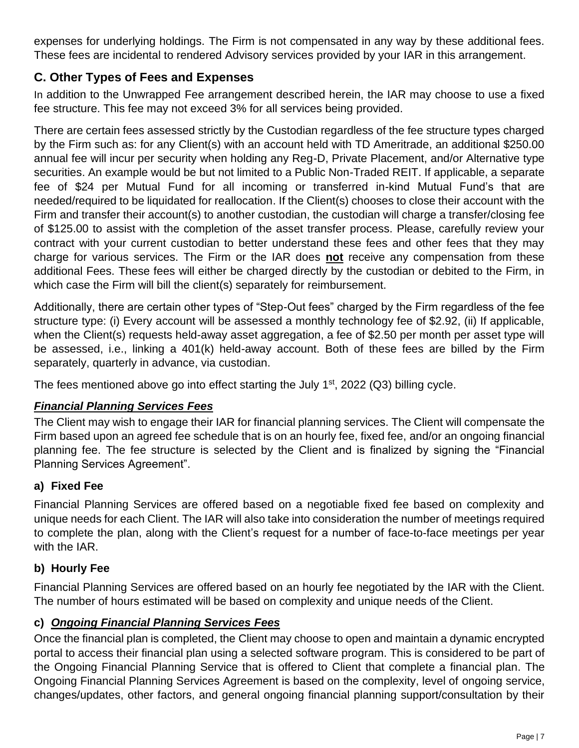expenses for underlying holdings. The Firm is not compensated in any way by these additional fees. These fees are incidental to rendered Advisory services provided by your IAR in this arrangement.

## **C. Other Types of Fees and Expenses**

In addition to the Unwrapped Fee arrangement described herein, the IAR may choose to use a fixed fee structure. This fee may not exceed 3% for all services being provided.

There are certain fees assessed strictly by the Custodian regardless of the fee structure types charged by the Firm such as: for any Client(s) with an account held with TD Ameritrade, an additional \$250.00 annual fee will incur per security when holding any Reg-D, Private Placement, and/or Alternative type securities. An example would be but not limited to a Public Non-Traded REIT. If applicable, a separate fee of \$24 per Mutual Fund for all incoming or transferred in-kind Mutual Fund's that are needed/required to be liquidated for reallocation. If the Client(s) chooses to close their account with the Firm and transfer their account(s) to another custodian, the custodian will charge a transfer/closing fee of \$125.00 to assist with the completion of the asset transfer process. Please, carefully review your contract with your current custodian to better understand these fees and other fees that they may charge for various services. The Firm or the IAR does **not** receive any compensation from these additional Fees. These fees will either be charged directly by the custodian or debited to the Firm, in which case the Firm will bill the client(s) separately for reimbursement.

Additionally, there are certain other types of "Step-Out fees" charged by the Firm regardless of the fee structure type: (i) Every account will be assessed a monthly technology fee of \$2.92, (ii) If applicable, when the Client(s) requests held-away asset aggregation, a fee of \$2.50 per month per asset type will be assessed, i.e., linking a 401(k) held-away account. Both of these fees are billed by the Firm separately, quarterly in advance, via custodian.

The fees mentioned above go into effect starting the July  $1<sup>st</sup>$ , 2022 (Q3) billing cycle.

#### *Financial Planning Services Fees*

The Client may wish to engage their IAR for financial planning services. The Client will compensate the Firm based upon an agreed fee schedule that is on an hourly fee, fixed fee, and/or an ongoing financial planning fee. The fee structure is selected by the Client and is finalized by signing the "Financial Planning Services Agreement".

#### **a) Fixed Fee**

Financial Planning Services are offered based on a negotiable fixed fee based on complexity and unique needs for each Client. The IAR will also take into consideration the number of meetings required to complete the plan, along with the Client's request for a number of face-to-face meetings per year with the IAR.

### **b) Hourly Fee**

Financial Planning Services are offered based on an hourly fee negotiated by the IAR with the Client. The number of hours estimated will be based on complexity and unique needs of the Client.

### **c)** *Ongoing Financial Planning Services Fees*

Once the financial plan is completed, the Client may choose to open and maintain a dynamic encrypted portal to access their financial plan using a selected software program. This is considered to be part of the Ongoing Financial Planning Service that is offered to Client that complete a financial plan. The Ongoing Financial Planning Services Agreement is based on the complexity, level of ongoing service, changes/updates, other factors, and general ongoing financial planning support/consultation by their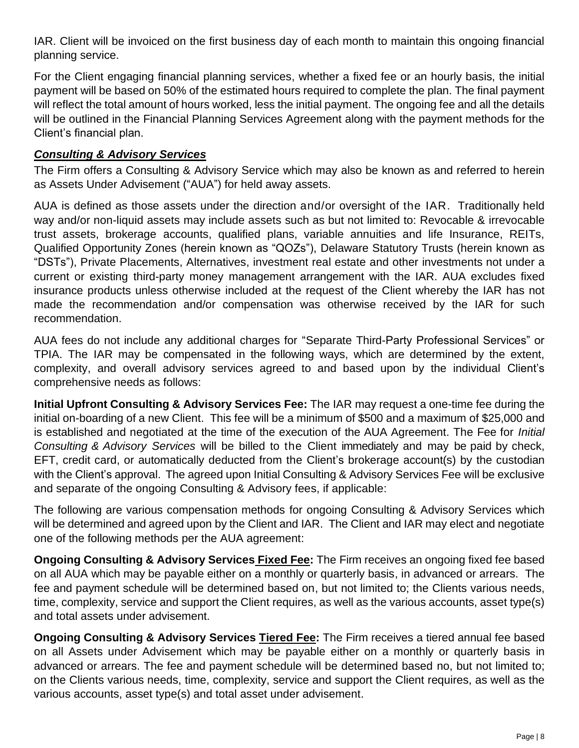IAR. Client will be invoiced on the first business day of each month to maintain this ongoing financial planning service.

For the Client engaging financial planning services, whether a fixed fee or an hourly basis, the initial payment will be based on 50% of the estimated hours required to complete the plan. The final payment will reflect the total amount of hours worked, less the initial payment. The ongoing fee and all the details will be outlined in the Financial Planning Services Agreement along with the payment methods for the Client's financial plan.

#### *Consulting & Advisory Services*

The Firm offers a Consulting & Advisory Service which may also be known as and referred to herein as Assets Under Advisement ("AUA") for held away assets.

AUA is defined as those assets under the direction and/or oversight of the IAR. Traditionally held way and/or non-liquid assets may include assets such as but not limited to: Revocable & irrevocable trust assets, brokerage accounts, qualified plans, variable annuities and life Insurance, REITs, Qualified Opportunity Zones (herein known as "QOZs"), Delaware Statutory Trusts (herein known as "DSTs"), Private Placements, Alternatives, investment real estate and other investments not under a current or existing third-party money management arrangement with the IAR. AUA excludes fixed insurance products unless otherwise included at the request of the Client whereby the IAR has not made the recommendation and/or compensation was otherwise received by the IAR for such recommendation.

AUA fees do not include any additional charges for "Separate Third-Party Professional Services" or TPIA. The IAR may be compensated in the following ways, which are determined by the extent, complexity, and overall advisory services agreed to and based upon by the individual Client's comprehensive needs as follows:

**Initial Upfront Consulting & Advisory Services Fee:** The IAR may request a one-time fee during the initial on-boarding of a new Client. This fee will be a minimum of \$500 and a maximum of \$25,000 and is established and negotiated at the time of the execution of the AUA Agreement. The Fee for *Initial Consulting & Advisory Services* will be billed to the Client immediately and may be paid by check, EFT, credit card, or automatically deducted from the Client's brokerage account(s) by the custodian with the Client's approval. The agreed upon Initial Consulting & Advisory Services Fee will be exclusive and separate of the ongoing Consulting & Advisory fees, if applicable:

The following are various compensation methods for ongoing Consulting & Advisory Services which will be determined and agreed upon by the Client and IAR. The Client and IAR may elect and negotiate one of the following methods per the AUA agreement:

**Ongoing Consulting & Advisory Services Fixed Fee:** The Firm receives an ongoing fixed fee based on all AUA which may be payable either on a monthly or quarterly basis, in advanced or arrears. The fee and payment schedule will be determined based on, but not limited to; the Clients various needs, time, complexity, service and support the Client requires, as well as the various accounts, asset type(s) and total assets under advisement.

**Ongoing Consulting & Advisory Services Tiered Fee:** The Firm receives a tiered annual fee based on all Assets under Advisement which may be payable either on a monthly or quarterly basis in advanced or arrears. The fee and payment schedule will be determined based no, but not limited to; on the Clients various needs, time, complexity, service and support the Client requires, as well as the various accounts, asset type(s) and total asset under advisement.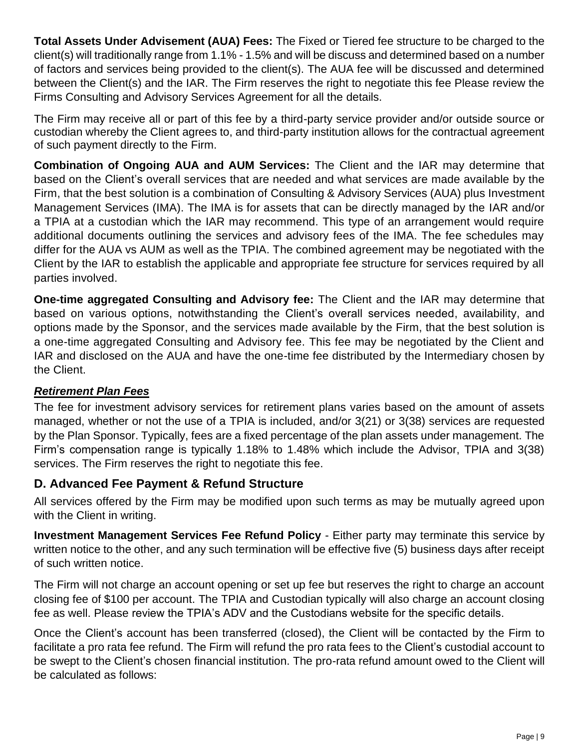**Total Assets Under Advisement (AUA) Fees:** The Fixed or Tiered fee structure to be charged to the client(s) will traditionally range from 1.1% - 1.5% and will be discuss and determined based on a number of factors and services being provided to the client(s). The AUA fee will be discussed and determined between the Client(s) and the IAR. The Firm reserves the right to negotiate this fee Please review the Firms Consulting and Advisory Services Agreement for all the details.

The Firm may receive all or part of this fee by a third-party service provider and/or outside source or custodian whereby the Client agrees to, and third-party institution allows for the contractual agreement of such payment directly to the Firm.

**Combination of Ongoing AUA and AUM Services:** The Client and the IAR may determine that based on the Client's overall services that are needed and what services are made available by the Firm, that the best solution is a combination of Consulting & Advisory Services (AUA) plus Investment Management Services (IMA). The IMA is for assets that can be directly managed by the IAR and/or a TPIA at a custodian which the IAR may recommend. This type of an arrangement would require additional documents outlining the services and advisory fees of the IMA. The fee schedules may differ for the AUA vs AUM as well as the TPIA. The combined agreement may be negotiated with the Client by the IAR to establish the applicable and appropriate fee structure for services required by all parties involved.

**One-time aggregated Consulting and Advisory fee:** The Client and the IAR may determine that based on various options, notwithstanding the Client's overall services needed, availability, and options made by the Sponsor, and the services made available by the Firm, that the best solution is a one-time aggregated Consulting and Advisory fee. This fee may be negotiated by the Client and IAR and disclosed on the AUA and have the one-time fee distributed by the Intermediary chosen by the Client.

### *Retirement Plan Fees*

The fee for investment advisory services for retirement plans varies based on the amount of assets managed, whether or not the use of a TPIA is included, and/or 3(21) or 3(38) services are requested by the Plan Sponsor. Typically, fees are a fixed percentage of the plan assets under management. The Firm's compensation range is typically 1.18% to 1.48% which include the Advisor, TPIA and 3(38) services. The Firm reserves the right to negotiate this fee.

### **D. Advanced Fee Payment & Refund Structure**

All services offered by the Firm may be modified upon such terms as may be mutually agreed upon with the Client in writing.

**Investment Management Services Fee Refund Policy** - Either party may terminate this service by written notice to the other, and any such termination will be effective five (5) business days after receipt of such written notice.

The Firm will not charge an account opening or set up fee but reserves the right to charge an account closing fee of \$100 per account. The TPIA and Custodian typically will also charge an account closing fee as well. Please review the TPIA's ADV and the Custodians website for the specific details.

Once the Client's account has been transferred (closed), the Client will be contacted by the Firm to facilitate a pro rata fee refund. The Firm will refund the pro rata fees to the Client's custodial account to be swept to the Client's chosen financial institution. The pro-rata refund amount owed to the Client will be calculated as follows: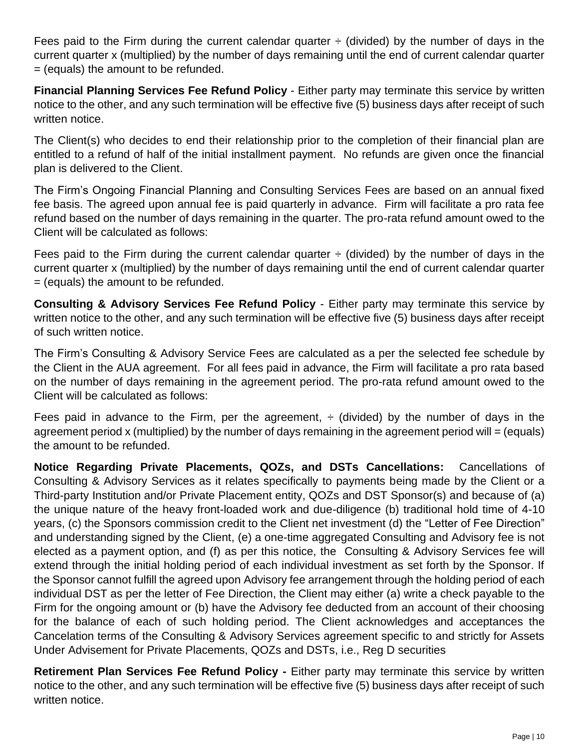Fees paid to the Firm during the current calendar quarter  $\div$  (divided) by the number of days in the current quarter x (multiplied) by the number of days remaining until the end of current calendar quarter = (equals) the amount to be refunded.

**Financial Planning Services Fee Refund Policy** - Either party may terminate this service by written notice to the other, and any such termination will be effective five (5) business days after receipt of such written notice.

The Client(s) who decides to end their relationship prior to the completion of their financial plan are entitled to a refund of half of the initial installment payment. No refunds are given once the financial plan is delivered to the Client.

The Firm's Ongoing Financial Planning and Consulting Services Fees are based on an annual fixed fee basis. The agreed upon annual fee is paid quarterly in advance. Firm will facilitate a pro rata fee refund based on the number of days remaining in the quarter. The pro-rata refund amount owed to the Client will be calculated as follows:

Fees paid to the Firm during the current calendar quarter  $\div$  (divided) by the number of days in the current quarter x (multiplied) by the number of days remaining until the end of current calendar quarter = (equals) the amount to be refunded.

**Consulting & Advisory Services Fee Refund Policy** - Either party may terminate this service by written notice to the other, and any such termination will be effective five (5) business days after receipt of such written notice.

The Firm's Consulting & Advisory Service Fees are calculated as a per the selected fee schedule by the Client in the AUA agreement. For all fees paid in advance, the Firm will facilitate a pro rata based on the number of days remaining in the agreement period. The pro-rata refund amount owed to the Client will be calculated as follows:

Fees paid in advance to the Firm, per the agreement,  $\div$  (divided) by the number of days in the agreement period x (multiplied) by the number of days remaining in the agreement period will = (equals) the amount to be refunded.

**Notice Regarding Private Placements, QOZs, and DSTs Cancellations:** Cancellations of Consulting & Advisory Services as it relates specifically to payments being made by the Client or a Third-party Institution and/or Private Placement entity, QOZs and DST Sponsor(s) and because of (a) the unique nature of the heavy front-loaded work and due-diligence (b) traditional hold time of 4-10 years, (c) the Sponsors commission credit to the Client net investment (d) the "Letter of Fee Direction" and understanding signed by the Client, (e) a one-time aggregated Consulting and Advisory fee is not elected as a payment option, and (f) as per this notice, the Consulting & Advisory Services fee will extend through the initial holding period of each individual investment as set forth by the Sponsor. If the Sponsor cannot fulfill the agreed upon Advisory fee arrangement through the holding period of each individual DST as per the letter of Fee Direction, the Client may either (a) write a check payable to the Firm for the ongoing amount or (b) have the Advisory fee deducted from an account of their choosing for the balance of each of such holding period. The Client acknowledges and acceptances the Cancelation terms of the Consulting & Advisory Services agreement specific to and strictly for Assets Under Advisement for Private Placements, QOZs and DSTs, i.e., Reg D securities

**Retirement Plan Services Fee Refund Policy -** Either party may terminate this service by written notice to the other, and any such termination will be effective five (5) business days after receipt of such written notice.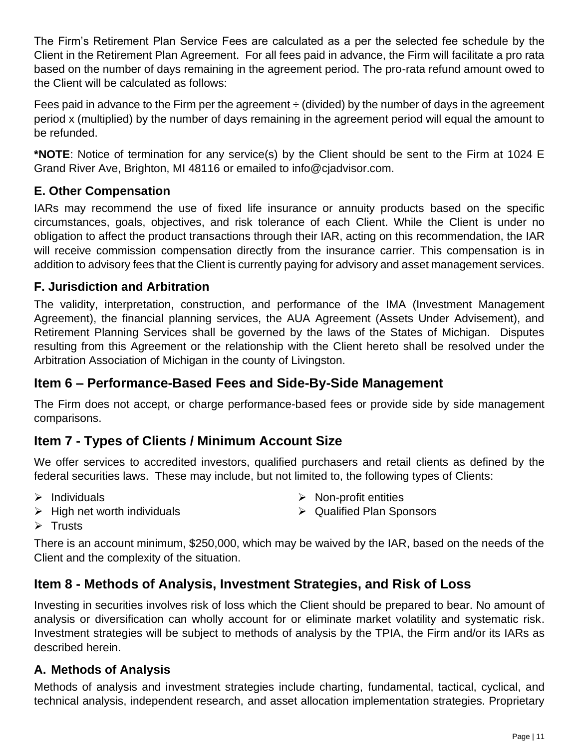The Firm's Retirement Plan Service Fees are calculated as a per the selected fee schedule by the Client in the Retirement Plan Agreement. For all fees paid in advance, the Firm will facilitate a pro rata based on the number of days remaining in the agreement period. The pro-rata refund amount owed to the Client will be calculated as follows:

Fees paid in advance to the Firm per the agreement  $\div$  (divided) by the number of days in the agreement period x (multiplied) by the number of days remaining in the agreement period will equal the amount to be refunded.

**\*NOTE**: Notice of termination for any service(s) by the Client should be sent to the Firm at 1024 E Grand River Ave, Brighton, MI 48116 or emailed to info@cjadvisor.com.

## **E. Other Compensation**

IARs may recommend the use of fixed life insurance or annuity products based on the specific circumstances, goals, objectives, and risk tolerance of each Client. While the Client is under no obligation to affect the product transactions through their IAR, acting on this recommendation, the IAR will receive commission compensation directly from the insurance carrier. This compensation is in addition to advisory fees that the Client is currently paying for advisory and asset management services.

## **F. Jurisdiction and Arbitration**

The validity, interpretation, construction, and performance of the IMA (Investment Management Agreement), the financial planning services, the AUA Agreement (Assets Under Advisement), and Retirement Planning Services shall be governed by the laws of the States of Michigan. Disputes resulting from this Agreement or the relationship with the Client hereto shall be resolved under the Arbitration Association of Michigan in the county of Livingston.

## <span id="page-10-0"></span>**Item 6 – Performance-Based Fees and Side-By-Side Management**

The Firm does not accept, or charge performance-based fees or provide side by side management comparisons.

# <span id="page-10-1"></span>**Item 7 - Types of Clients / Minimum Account Size**

We offer services to accredited investors, qualified purchasers and retail clients as defined by the federal securities laws. These may include, but not limited to, the following types of Clients:

 $\triangleright$  Individuals

 $\triangleright$  Non-profit entities

 $\triangleright$  High net worth individuals

➢ Qualified Plan Sponsors

➢ Trusts

There is an account minimum, \$250,000, which may be waived by the IAR, based on the needs of the Client and the complexity of the situation.

# <span id="page-10-2"></span>**Item 8 - Methods of Analysis, Investment Strategies, and Risk of Loss**

Investing in securities involves risk of loss which the Client should be prepared to bear. No amount of analysis or diversification can wholly account for or eliminate market volatility and systematic risk. Investment strategies will be subject to methods of analysis by the TPIA, the Firm and/or its IARs as described herein.

### **A. Methods of Analysis**

Methods of analysis and investment strategies include charting, fundamental, tactical, cyclical, and technical analysis, independent research, and asset allocation implementation strategies. Proprietary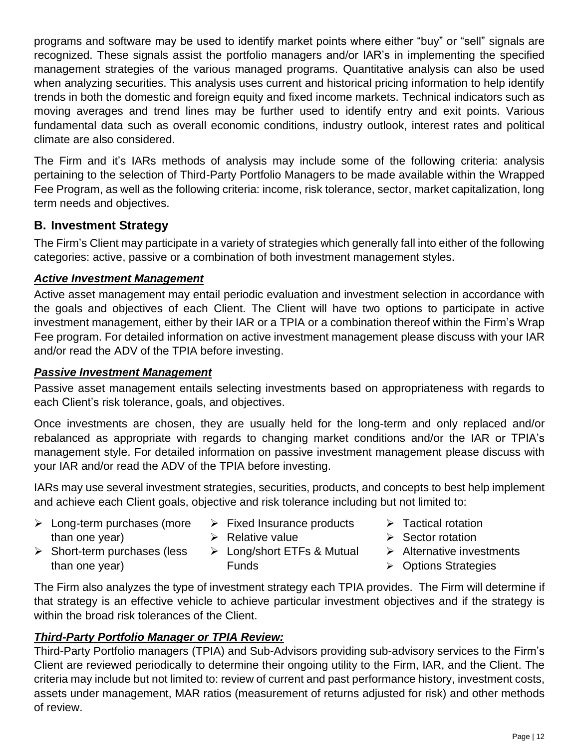programs and software may be used to identify market points where either "buy" or "sell" signals are recognized. These signals assist the portfolio managers and/or IAR's in implementing the specified management strategies of the various managed programs. Quantitative analysis can also be used when analyzing securities. This analysis uses current and historical pricing information to help identify trends in both the domestic and foreign equity and fixed income markets. Technical indicators such as moving averages and trend lines may be further used to identify entry and exit points. Various fundamental data such as overall economic conditions, industry outlook, interest rates and political climate are also considered.

The Firm and it's IARs methods of analysis may include some of the following criteria: analysis pertaining to the selection of Third-Party Portfolio Managers to be made available within the Wrapped Fee Program, as well as the following criteria: income, risk tolerance, sector, market capitalization, long term needs and objectives.

## **B. Investment Strategy**

The Firm's Client may participate in a variety of strategies which generally fall into either of the following categories: active, passive or a combination of both investment management styles.

#### *Active Investment Management*

Active asset management may entail periodic evaluation and investment selection in accordance with the goals and objectives of each Client. The Client will have two options to participate in active investment management, either by their IAR or a TPIA or a combination thereof within the Firm's Wrap Fee program. For detailed information on active investment management please discuss with your IAR and/or read the ADV of the TPIA before investing.

#### *Passive Investment Management*

than one year)

Passive asset management entails selecting investments based on appropriateness with regards to each Client's risk tolerance, goals, and objectives.

Once investments are chosen, they are usually held for the long-term and only replaced and/or rebalanced as appropriate with regards to changing market conditions and/or the IAR or TPIA's management style. For detailed information on passive investment management please discuss with your IAR and/or read the ADV of the TPIA before investing.

IARs may use several investment strategies, securities, products, and concepts to best help implement and achieve each Client goals, objective and risk tolerance including but not limited to:

- ➢ Long-term purchases (more than one year) ➢ Short-term purchases (less  $\triangleright$  Fixed Insurance products ➢ Relative value
	- ➢ Long/short ETFs & Mutual
	- Funds
- ➢ Tactical rotation
- ➢ Sector rotation
- ➢ Alternative investments
- ➢ Options Strategies

The Firm also analyzes the type of investment strategy each TPIA provides. The Firm will determine if that strategy is an effective vehicle to achieve particular investment objectives and if the strategy is within the broad risk tolerances of the Client.

### *Third-Party Portfolio Manager or TPIA Review:*

Third-Party Portfolio managers (TPIA) and Sub-Advisors providing sub-advisory services to the Firm's Client are reviewed periodically to determine their ongoing utility to the Firm, IAR, and the Client. The criteria may include but not limited to: review of current and past performance history, investment costs, assets under management, MAR ratios (measurement of returns adjusted for risk) and other methods of review.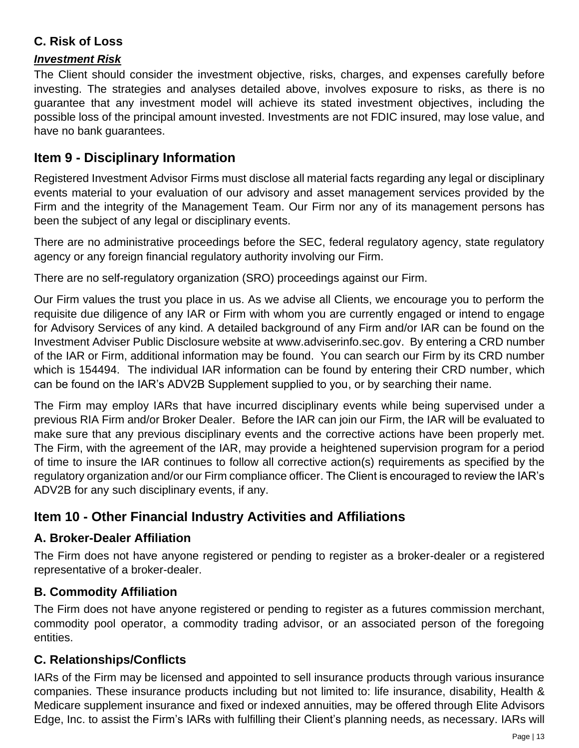## **C. Risk of Loss**

#### *Investment Risk*

The Client should consider the investment objective, risks, charges, and expenses carefully before investing. The strategies and analyses detailed above, involves exposure to risks, as there is no guarantee that any investment model will achieve its stated investment objectives, including the possible loss of the principal amount invested. Investments are not FDIC insured, may lose value, and have no bank guarantees.

# <span id="page-12-0"></span>**Item 9 - Disciplinary Information**

Registered Investment Advisor Firms must disclose all material facts regarding any legal or disciplinary events material to your evaluation of our advisory and asset management services provided by the Firm and the integrity of the Management Team. Our Firm nor any of its management persons has been the subject of any legal or disciplinary events.

There are no administrative proceedings before the SEC, federal regulatory agency, state regulatory agency or any foreign financial regulatory authority involving our Firm.

There are no self-regulatory organization (SRO) proceedings against our Firm.

Our Firm values the trust you place in us. As we advise all Clients, we encourage you to perform the requisite due diligence of any IAR or Firm with whom you are currently engaged or intend to engage for Advisory Services of any kind. A detailed background of any Firm and/or IAR can be found on the Investment Adviser Public Disclosure website at www.adviserinfo.sec.gov. By entering a CRD number of the IAR or Firm, additional information may be found. You can search our Firm by its CRD number which is 154494. The individual IAR information can be found by entering their CRD number, which can be found on the IAR's ADV2B Supplement supplied to you, or by searching their name.

The Firm may employ IARs that have incurred disciplinary events while being supervised under a previous RIA Firm and/or Broker Dealer. Before the IAR can join our Firm, the IAR will be evaluated to make sure that any previous disciplinary events and the corrective actions have been properly met. The Firm, with the agreement of the IAR, may provide a heightened supervision program for a period of time to insure the IAR continues to follow all corrective action(s) requirements as specified by the regulatory organization and/or our Firm compliance officer. The Client is encouraged to review the IAR's ADV2B for any such disciplinary events, if any.

# <span id="page-12-1"></span>**Item 10 - Other Financial Industry Activities and Affiliations**

### **A. Broker-Dealer Affiliation**

The Firm does not have anyone registered or pending to register as a broker-dealer or a registered representative of a broker-dealer.

## **B. Commodity Affiliation**

The Firm does not have anyone registered or pending to register as a futures commission merchant, commodity pool operator, a commodity trading advisor, or an associated person of the foregoing entities.

### **C. Relationships/Conflicts**

IARs of the Firm may be licensed and appointed to sell insurance products through various insurance companies. These insurance products including but not limited to: life insurance, disability, Health & Medicare supplement insurance and fixed or indexed annuities, may be offered through Elite Advisors Edge, Inc. to assist the Firm's IARs with fulfilling their Client's planning needs, as necessary. IARs will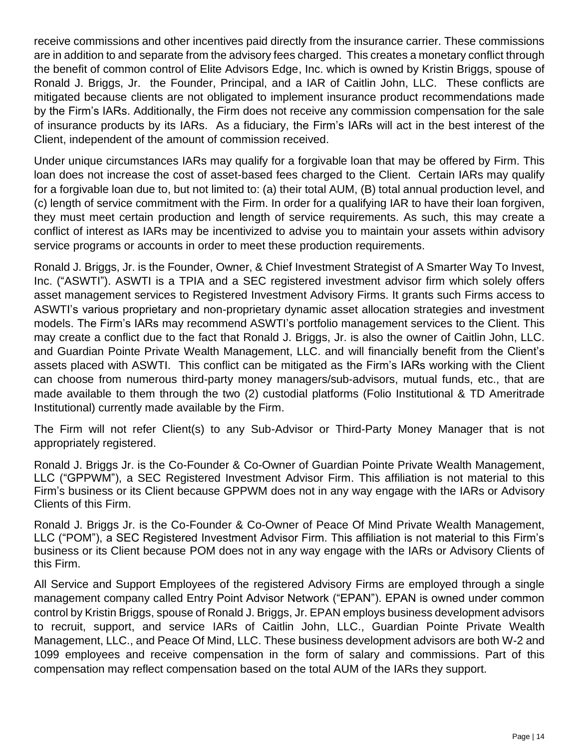receive commissions and other incentives paid directly from the insurance carrier. These commissions are in addition to and separate from the advisory fees charged. This creates a monetary conflict through the benefit of common control of Elite Advisors Edge, Inc. which is owned by Kristin Briggs, spouse of Ronald J. Briggs, Jr. the Founder, Principal, and a IAR of Caitlin John, LLC. These conflicts are mitigated because clients are not obligated to implement insurance product recommendations made by the Firm's IARs. Additionally, the Firm does not receive any commission compensation for the sale of insurance products by its IARs. As a fiduciary, the Firm's IARs will act in the best interest of the Client, independent of the amount of commission received.

Under unique circumstances IARs may qualify for a forgivable loan that may be offered by Firm. This loan does not increase the cost of asset-based fees charged to the Client. Certain IARs may qualify for a forgivable loan due to, but not limited to: (a) their total AUM, (B) total annual production level, and (c) length of service commitment with the Firm. In order for a qualifying IAR to have their loan forgiven, they must meet certain production and length of service requirements. As such, this may create a conflict of interest as IARs may be incentivized to advise you to maintain your assets within advisory service programs or accounts in order to meet these production requirements.

Ronald J. Briggs, Jr. is the Founder, Owner, & Chief Investment Strategist of A Smarter Way To Invest, Inc. ("ASWTI"). ASWTI is a TPIA and a SEC registered investment advisor firm which solely offers asset management services to Registered Investment Advisory Firms. It grants such Firms access to ASWTI's various proprietary and non-proprietary dynamic asset allocation strategies and investment models. The Firm's IARs may recommend ASWTI's portfolio management services to the Client. This may create a conflict due to the fact that Ronald J. Briggs, Jr. is also the owner of Caitlin John, LLC. and Guardian Pointe Private Wealth Management, LLC. and will financially benefit from the Client's assets placed with ASWTI. This conflict can be mitigated as the Firm's IARs working with the Client can choose from numerous third-party money managers/sub-advisors, mutual funds, etc., that are made available to them through the two (2) custodial platforms (Folio Institutional & TD Ameritrade Institutional) currently made available by the Firm.

The Firm will not refer Client(s) to any Sub-Advisor or Third-Party Money Manager that is not appropriately registered.

Ronald J. Briggs Jr. is the Co-Founder & Co-Owner of Guardian Pointe Private Wealth Management, LLC ("GPPWM"), a SEC Registered Investment Advisor Firm. This affiliation is not material to this Firm's business or its Client because GPPWM does not in any way engage with the IARs or Advisory Clients of this Firm.

Ronald J. Briggs Jr. is the Co-Founder & Co-Owner of Peace Of Mind Private Wealth Management, LLC ("POM"), a SEC Registered Investment Advisor Firm. This affiliation is not material to this Firm's business or its Client because POM does not in any way engage with the IARs or Advisory Clients of this Firm.

All Service and Support Employees of the registered Advisory Firms are employed through a single management company called Entry Point Advisor Network ("EPAN"). EPAN is owned under common control by Kristin Briggs, spouse of Ronald J. Briggs, Jr. EPAN employs business development advisors to recruit, support, and service IARs of Caitlin John, LLC., Guardian Pointe Private Wealth Management, LLC., and Peace Of Mind, LLC. These business development advisors are both W-2 and 1099 employees and receive compensation in the form of salary and commissions. Part of this compensation may reflect compensation based on the total AUM of the IARs they support.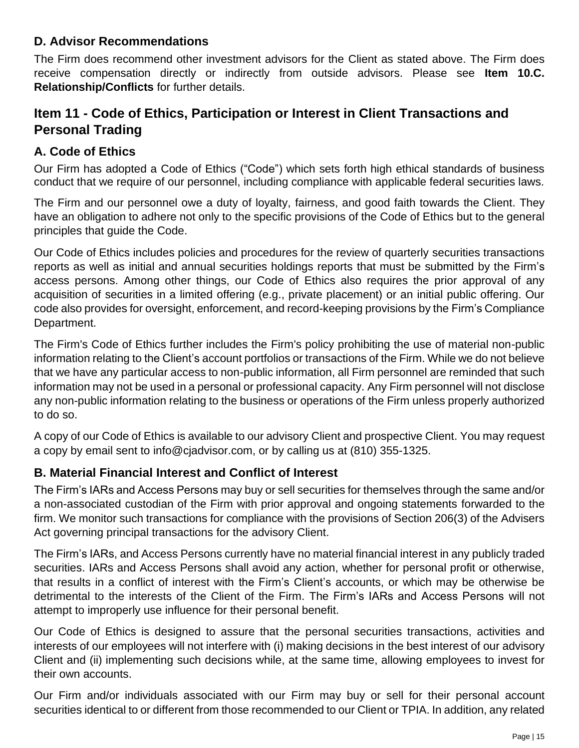### **D. Advisor Recommendations**

The Firm does recommend other investment advisors for the Client as stated above. The Firm does receive compensation directly or indirectly from outside advisors. Please see **Item 10.C. Relationship/Conflicts** for further details.

# <span id="page-14-0"></span>**Item 11 - Code of Ethics, Participation or Interest in Client Transactions and Personal Trading**

## **A. Code of Ethics**

Our Firm has adopted a Code of Ethics ("Code") which sets forth high ethical standards of business conduct that we require of our personnel, including compliance with applicable federal securities laws.

The Firm and our personnel owe a duty of loyalty, fairness, and good faith towards the Client. They have an obligation to adhere not only to the specific provisions of the Code of Ethics but to the general principles that guide the Code.

Our Code of Ethics includes policies and procedures for the review of quarterly securities transactions reports as well as initial and annual securities holdings reports that must be submitted by the Firm's access persons. Among other things, our Code of Ethics also requires the prior approval of any acquisition of securities in a limited offering (e.g., private placement) or an initial public offering. Our code also provides for oversight, enforcement, and record-keeping provisions by the Firm's Compliance Department.

The Firm's Code of Ethics further includes the Firm's policy prohibiting the use of material non-public information relating to the Client's account portfolios or transactions of the Firm. While we do not believe that we have any particular access to non-public information, all Firm personnel are reminded that such information may not be used in a personal or professional capacity. Any Firm personnel will not disclose any non-public information relating to the business or operations of the Firm unless properly authorized to do so.

A copy of our Code of Ethics is available to our advisory Client and prospective Client. You may request a copy by email sent to info@cjadvisor.com, or by calling us at (810) 355-1325.

## **B. Material Financial Interest and Conflict of Interest**

The Firm's IARs and Access Persons may buy or sell securities for themselves through the same and/or a non-associated custodian of the Firm with prior approval and ongoing statements forwarded to the firm. We monitor such transactions for compliance with the provisions of Section 206(3) of the Advisers Act governing principal transactions for the advisory Client.

The Firm's IARs, and Access Persons currently have no material financial interest in any publicly traded securities. IARs and Access Persons shall avoid any action, whether for personal profit or otherwise, that results in a conflict of interest with the Firm's Client's accounts, or which may be otherwise be detrimental to the interests of the Client of the Firm. The Firm's IARs and Access Persons will not attempt to improperly use influence for their personal benefit.

Our Code of Ethics is designed to assure that the personal securities transactions, activities and interests of our employees will not interfere with (i) making decisions in the best interest of our advisory Client and (ii) implementing such decisions while, at the same time, allowing employees to invest for their own accounts.

Our Firm and/or individuals associated with our Firm may buy or sell for their personal account securities identical to or different from those recommended to our Client or TPIA. In addition, any related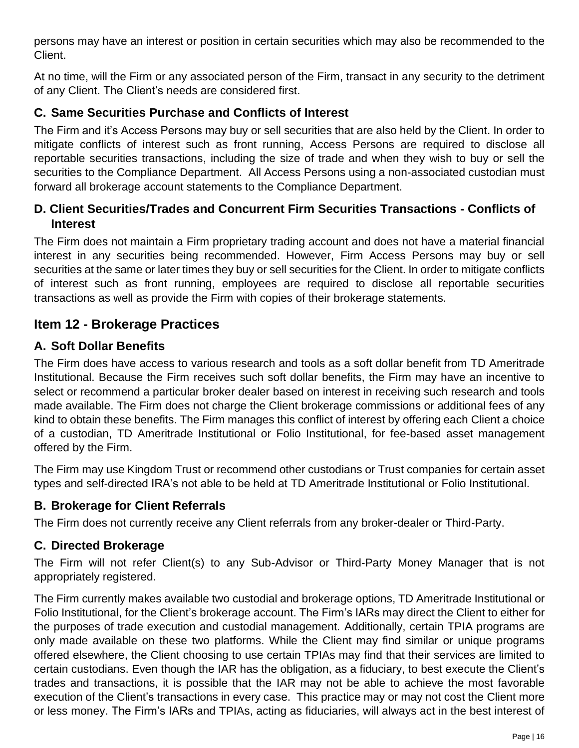persons may have an interest or position in certain securities which may also be recommended to the Client.

At no time, will the Firm or any associated person of the Firm, transact in any security to the detriment of any Client. The Client's needs are considered first.

### **C. Same Securities Purchase and Conflicts of Interest**

The Firm and it's Access Persons may buy or sell securities that are also held by the Client. In order to mitigate conflicts of interest such as front running, Access Persons are required to disclose all reportable securities transactions, including the size of trade and when they wish to buy or sell the securities to the Compliance Department. All Access Persons using a non-associated custodian must forward all brokerage account statements to the Compliance Department.

### **D. Client Securities/Trades and Concurrent Firm Securities Transactions - Conflicts of Interest**

The Firm does not maintain a Firm proprietary trading account and does not have a material financial interest in any securities being recommended. However, Firm Access Persons may buy or sell securities at the same or later times they buy or sell securities for the Client. In order to mitigate conflicts of interest such as front running, employees are required to disclose all reportable securities transactions as well as provide the Firm with copies of their brokerage statements.

# <span id="page-15-0"></span>**Item 12 - Brokerage Practices**

## **A. Soft Dollar Benefits**

The Firm does have access to various research and tools as a soft dollar benefit from TD Ameritrade Institutional. Because the Firm receives such soft dollar benefits, the Firm may have an incentive to select or recommend a particular broker dealer based on interest in receiving such research and tools made available. The Firm does not charge the Client brokerage commissions or additional fees of any kind to obtain these benefits. The Firm manages this conflict of interest by offering each Client a choice of a custodian, TD Ameritrade Institutional or Folio Institutional, for fee-based asset management offered by the Firm.

The Firm may use Kingdom Trust or recommend other custodians or Trust companies for certain asset types and self-directed IRA's not able to be held at TD Ameritrade Institutional or Folio Institutional.

### **B. Brokerage for Client Referrals**

The Firm does not currently receive any Client referrals from any broker-dealer or Third-Party.

### **C. Directed Brokerage**

The Firm will not refer Client(s) to any Sub-Advisor or Third-Party Money Manager that is not appropriately registered.

The Firm currently makes available two custodial and brokerage options, TD Ameritrade Institutional or Folio Institutional, for the Client's brokerage account. The Firm's IARs may direct the Client to either for the purposes of trade execution and custodial management. Additionally, certain TPIA programs are only made available on these two platforms. While the Client may find similar or unique programs offered elsewhere, the Client choosing to use certain TPIAs may find that their services are limited to certain custodians. Even though the IAR has the obligation, as a fiduciary, to best execute the Client's trades and transactions, it is possible that the IAR may not be able to achieve the most favorable execution of the Client's transactions in every case. This practice may or may not cost the Client more or less money. The Firm's IARs and TPIAs, acting as fiduciaries, will always act in the best interest of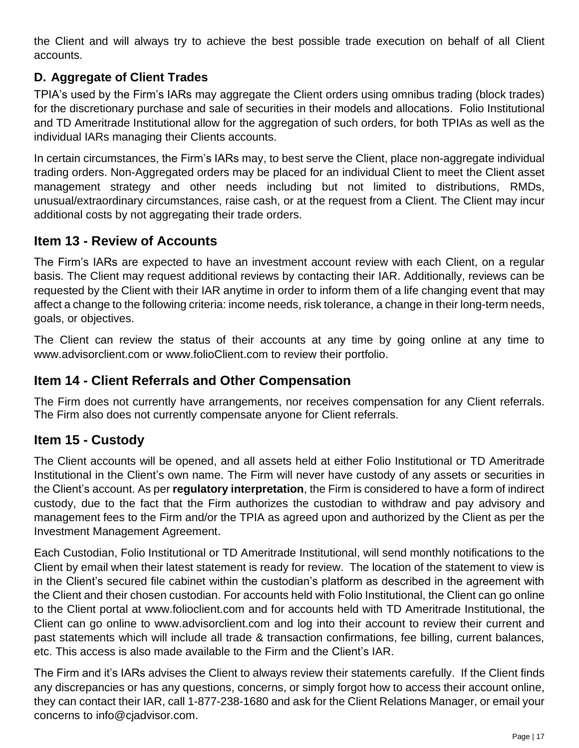the Client and will always try to achieve the best possible trade execution on behalf of all Client accounts.

## **D. Aggregate of Client Trades**

TPIA's used by the Firm's IARs may aggregate the Client orders using omnibus trading (block trades) for the discretionary purchase and sale of securities in their models and allocations. Folio Institutional and TD Ameritrade Institutional allow for the aggregation of such orders, for both TPIAs as well as the individual IARs managing their Clients accounts.

In certain circumstances, the Firm's IARs may, to best serve the Client, place non-aggregate individual trading orders. Non-Aggregated orders may be placed for an individual Client to meet the Client asset management strategy and other needs including but not limited to distributions, RMDs, unusual/extraordinary circumstances, raise cash, or at the request from a Client. The Client may incur additional costs by not aggregating their trade orders.

## <span id="page-16-0"></span>**Item 13 - Review of Accounts**

The Firm's IARs are expected to have an investment account review with each Client, on a regular basis. The Client may request additional reviews by contacting their IAR. Additionally, reviews can be requested by the Client with their IAR anytime in order to inform them of a life changing event that may affect a change to the following criteria: income needs, risk tolerance, a change in their long-term needs, goals, or objectives.

The Client can review the status of their accounts at any time by going online at any time to www.advisorclient.com or www.folioClient.com to review their portfolio.

### <span id="page-16-1"></span>**Item 14 - Client Referrals and Other Compensation**

The Firm does not currently have arrangements, nor receives compensation for any Client referrals. The Firm also does not currently compensate anyone for Client referrals.

## <span id="page-16-2"></span>**Item 15 - Custody**

The Client accounts will be opened, and all assets held at either Folio Institutional or TD Ameritrade Institutional in the Client's own name. The Firm will never have custody of any assets or securities in the Client's account. As per **regulatory interpretation**, the Firm is considered to have a form of indirect custody, due to the fact that the Firm authorizes the custodian to withdraw and pay advisory and management fees to the Firm and/or the TPIA as agreed upon and authorized by the Client as per the Investment Management Agreement.

Each Custodian, Folio Institutional or TD Ameritrade Institutional, will send monthly notifications to the Client by email when their latest statement is ready for review. The location of the statement to view is in the Client's secured file cabinet within the custodian's platform as described in the agreement with the Client and their chosen custodian. For accounts held with Folio Institutional, the Client can go online to the Client portal at www.folioclient.com and for accounts held with TD Ameritrade Institutional, the Client can go online to www.advisorclient.com and log into their account to review their current and past statements which will include all trade & transaction confirmations, fee billing, current balances, etc. This access is also made available to the Firm and the Client's IAR.

The Firm and it's IARs advises the Client to always review their statements carefully. If the Client finds any discrepancies or has any questions, concerns, or simply forgot how to access their account online, they can contact their IAR, call 1-877-238-1680 and ask for the Client Relations Manager, or email your concerns to info@cjadvisor.com.